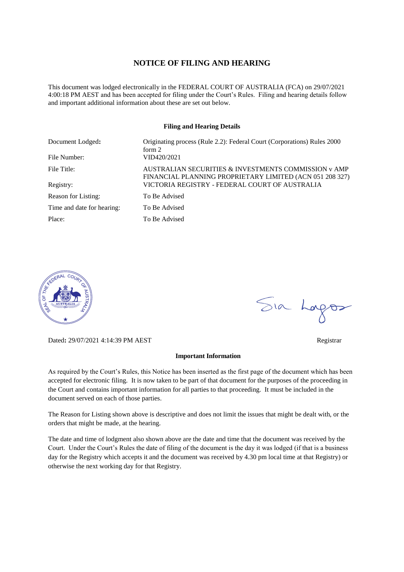#### **NOTICE OF FILING AND HEARING**

This document was lodged electronically in the FEDERAL COURT OF AUSTRALIA (FCA) on 29/07/2021 4:00:18 PM AEST and has been accepted for filing under the Court's Rules. Filing and hearing details follow and important additional information about these are set out below.

#### **Filing and Hearing Details**

| Document Lodged:           | Originating process (Rule 2.2): Federal Court (Corporations) Rules 2000<br>form $2$                              |
|----------------------------|------------------------------------------------------------------------------------------------------------------|
| File Number:               | VID420/2021                                                                                                      |
| File Title:                | AUSTRALIAN SECURITIES & INVESTMENTS COMMISSION y AMP<br>FINANCIAL PLANNING PROPRIETARY LIMITED (ACN 051 208 327) |
| Registry:                  | VICTORIA REGISTRY - FEDERAL COURT OF AUSTRALIA                                                                   |
| Reason for Listing:        | To Be Advised                                                                                                    |
| Time and date for hearing: | To Be Advised                                                                                                    |
| Place:                     | To Be Advised                                                                                                    |



Dated**:** 29/07/2021 4:14:39 PM AEST Registrar

#### **Important Information**

As required by the Court's Rules, this Notice has been inserted as the first page of the document which has been accepted for electronic filing. It is now taken to be part of that document for the purposes of the proceeding in the Court and contains important information for all parties to that proceeding. It must be included in the document served on each of those parties.

The Reason for Listing shown above is descriptive and does not limit the issues that might be dealt with, or the orders that might be made, at the hearing.

The date and time of lodgment also shown above are the date and time that the document was received by the Court. Under the Court's Rules the date of filing of the document is the day it was lodged (if that is a business day for the Registry which accepts it and the document was received by 4.30 pm local time at that Registry) or otherwise the next working day for that Registry.

Sia Logos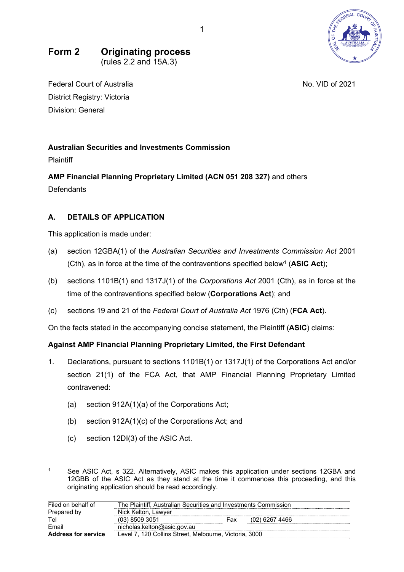

## **Form 2 Originating process**  (rules 2.2 and 15A.3)

Federal Court of Australia No. VID of 2021 District Registry: Victoria Division: General

# **Australian Securities and Investments Commission**

**Plaintiff** 

**AMP Financial Planning Proprietary Limited (ACN 051 208 327)** and others Defendants

# **A. DETAILS OF APPLICATION**

This application is made under:

- (a) section 12GBA(1) of the *Australian Securities and Investments Commission Act* 2001 (Cth), as in force at the time of the contraventions specified below<sup>1</sup> (ASIC Act);
- (b) sections 1101B(1) and 1317J(1) of the *Corporations Act* 2001 (Cth), as in force at the time of the contraventions specified below (**Corporations Act**); and
- (c) sections 19 and 21 of the *Federal Court of Australia Act* 1976 (Cth) (**FCA Act**).

On the facts stated in the accompanying concise statement, the Plaintiff (**ASIC**) claims:

# **Against AMP Financial Planning Proprietary Limited, the First Defendant**

- 1. Declarations, pursuant to sections 1101B(1) or 1317J(1) of the Corporations Act and/or section 21(1) of the FCA Act, that AMP Financial Planning Proprietary Limited contravened:
	- (a) section 912A(1)(a) of the Corporations Act;
	- (b) section 912A(1)(c) of the Corporations Act; and
	- (c) section 12DI(3) of the ASIC Act.

See ASIC Act, s 322. Alternatively, ASIC makes this application under sections 12GBA and 12GBB of the ASIC Act as they stand at the time it commences this proceeding, and this originating application should be read accordingly.

| Filed on behalf of         | The Plaintiff. Australian Securities and Investments Commission |     |                  |  |
|----------------------------|-----------------------------------------------------------------|-----|------------------|--|
| Prepared by                | Nick Kelton, Lawyer                                             |     |                  |  |
| Tel                        | (03) 8509 3051                                                  | Fax | $(02)$ 6267 4466 |  |
| Email                      | nicholas.kelton@asic.gov.au                                     |     |                  |  |
| <b>Address for service</b> | Level 7, 120 Collins Street, Melbourne, Victoria, 3000          |     |                  |  |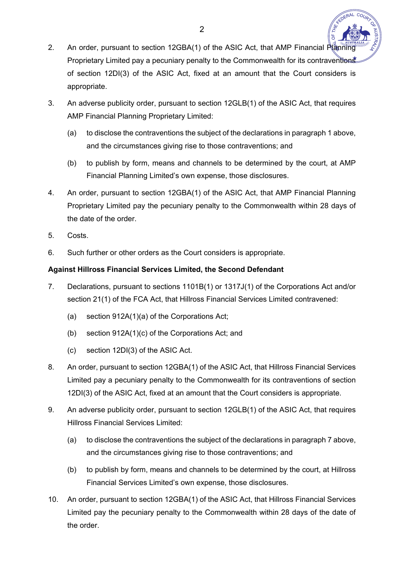- 2. An order, pursuant to section 12GBA(1) of the ASIC Act, that AMP Financial Planning Proprietary Limited pay a pecuniary penalty to the Commonwealth for its contraventions of section 12DI(3) of the ASIC Act, fixed at an amount that the Court considers is appropriate.
- 3. An adverse publicity order, pursuant to section 12GLB(1) of the ASIC Act, that requires AMP Financial Planning Proprietary Limited:
	- (a) to disclose the contraventions the subject of the declarations in paragraph 1 above, and the circumstances giving rise to those contraventions; and
	- (b) to publish by form, means and channels to be determined by the court, at AMP Financial Planning Limited's own expense, those disclosures.
- 4. An order, pursuant to section 12GBA(1) of the ASIC Act, that AMP Financial Planning Proprietary Limited pay the pecuniary penalty to the Commonwealth within 28 days of the date of the order.
- 5. Costs.
- 6. Such further or other orders as the Court considers is appropriate.

## **Against Hillross Financial Services Limited, the Second Defendant**

- 7. Declarations, pursuant to sections 1101B(1) or 1317J(1) of the Corporations Act and/or section 21(1) of the FCA Act, that Hillross Financial Services Limited contravened:
	- (a) section 912A(1)(a) of the Corporations Act;
	- (b) section 912A(1)(c) of the Corporations Act; and
	- (c) section 12DI(3) of the ASIC Act.
- 8. An order, pursuant to section 12GBA(1) of the ASIC Act, that Hillross Financial Services Limited pay a pecuniary penalty to the Commonwealth for its contraventions of section 12DI(3) of the ASIC Act, fixed at an amount that the Court considers is appropriate.
- 9. An adverse publicity order, pursuant to section 12GLB(1) of the ASIC Act, that requires Hillross Financial Services Limited:
	- (a) to disclose the contraventions the subject of the declarations in paragraph 7 above, and the circumstances giving rise to those contraventions; and
	- (b) to publish by form, means and channels to be determined by the court, at Hillross Financial Services Limited's own expense, those disclosures.
- 10. An order, pursuant to section 12GBA(1) of the ASIC Act, that Hillross Financial Services Limited pay the pecuniary penalty to the Commonwealth within 28 days of the date of the order.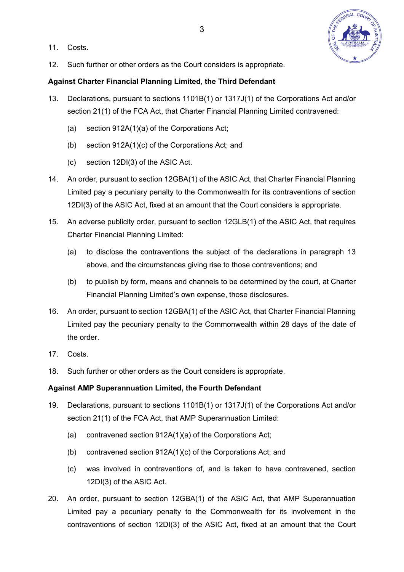11. Costs.



12. Such further or other orders as the Court considers is appropriate.

## **Against Charter Financial Planning Limited, the Third Defendant**

- 13. Declarations, pursuant to sections 1101B(1) or 1317J(1) of the Corporations Act and/or section 21(1) of the FCA Act, that Charter Financial Planning Limited contravened:
	- (a) section 912A(1)(a) of the Corporations Act;
	- (b) section 912A(1)(c) of the Corporations Act; and
	- (c) section 12DI(3) of the ASIC Act.
- 14. An order, pursuant to section 12GBA(1) of the ASIC Act, that Charter Financial Planning Limited pay a pecuniary penalty to the Commonwealth for its contraventions of section 12DI(3) of the ASIC Act, fixed at an amount that the Court considers is appropriate.
- 15. An adverse publicity order, pursuant to section 12GLB(1) of the ASIC Act, that requires Charter Financial Planning Limited:
	- (a) to disclose the contraventions the subject of the declarations in paragraph 13 above, and the circumstances giving rise to those contraventions; and
	- (b) to publish by form, means and channels to be determined by the court, at Charter Financial Planning Limited's own expense, those disclosures.
- 16. An order, pursuant to section 12GBA(1) of the ASIC Act, that Charter Financial Planning Limited pay the pecuniary penalty to the Commonwealth within 28 days of the date of the order.
- 17. Costs.
- 18. Such further or other orders as the Court considers is appropriate.

#### **Against AMP Superannuation Limited, the Fourth Defendant**

- 19. Declarations, pursuant to sections 1101B(1) or 1317J(1) of the Corporations Act and/or section 21(1) of the FCA Act, that AMP Superannuation Limited:
	- (a) contravened section 912A(1)(a) of the Corporations Act;
	- (b) contravened section 912A(1)(c) of the Corporations Act; and
	- (c) was involved in contraventions of, and is taken to have contravened, section 12DI(3) of the ASIC Act.
- 20. An order, pursuant to section 12GBA(1) of the ASIC Act, that AMP Superannuation Limited pay a pecuniary penalty to the Commonwealth for its involvement in the contraventions of section 12DI(3) of the ASIC Act, fixed at an amount that the Court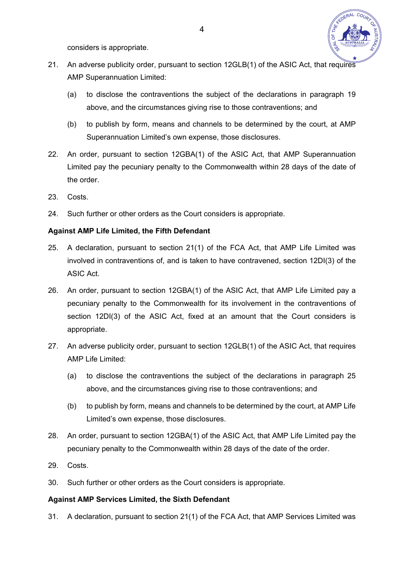

considers is appropriate.

- 21. An adverse publicity order, pursuant to section 12GLB(1) of the ASIC Act, that requires AMP Superannuation Limited:
	- (a) to disclose the contraventions the subject of the declarations in paragraph 19 above, and the circumstances giving rise to those contraventions; and
	- (b) to publish by form, means and channels to be determined by the court, at AMP Superannuation Limited's own expense, those disclosures.
- 22. An order, pursuant to section 12GBA(1) of the ASIC Act, that AMP Superannuation Limited pay the pecuniary penalty to the Commonwealth within 28 days of the date of the order.
- 23. Costs.
- 24. Such further or other orders as the Court considers is appropriate.

## **Against AMP Life Limited, the Fifth Defendant**

- 25. A declaration, pursuant to section 21(1) of the FCA Act, that AMP Life Limited was involved in contraventions of, and is taken to have contravened, section 12DI(3) of the ASIC Act.
- 26. An order, pursuant to section 12GBA(1) of the ASIC Act, that AMP Life Limited pay a pecuniary penalty to the Commonwealth for its involvement in the contraventions of section 12DI(3) of the ASIC Act, fixed at an amount that the Court considers is appropriate.
- 27. An adverse publicity order, pursuant to section 12GLB(1) of the ASIC Act, that requires AMP Life Limited:
	- (a) to disclose the contraventions the subject of the declarations in paragraph 25 above, and the circumstances giving rise to those contraventions; and
	- (b) to publish by form, means and channels to be determined by the court, at AMP Life Limited's own expense, those disclosures.
- 28. An order, pursuant to section 12GBA(1) of the ASIC Act, that AMP Life Limited pay the pecuniary penalty to the Commonwealth within 28 days of the date of the order.
- 29. Costs.
- 30. Such further or other orders as the Court considers is appropriate.

#### **Against AMP Services Limited, the Sixth Defendant**

31. A declaration, pursuant to section 21(1) of the FCA Act, that AMP Services Limited was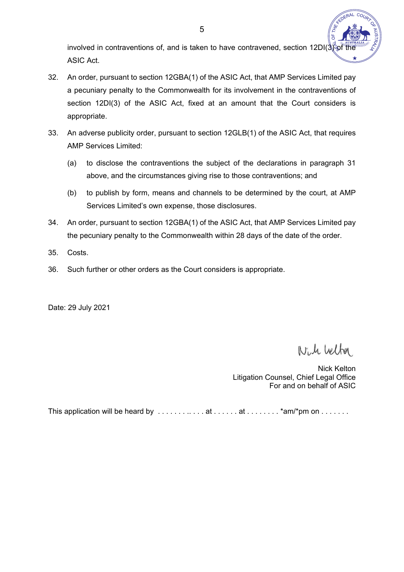involved in contraventions of, and is taken to have contravened, section 12DI( $\sqrt[3]{ }$ ASIC Act.

- 32. An order, pursuant to section 12GBA(1) of the ASIC Act, that AMP Services Limited pay a pecuniary penalty to the Commonwealth for its involvement in the contraventions of section 12DI(3) of the ASIC Act, fixed at an amount that the Court considers is appropriate.
- 33. An adverse publicity order, pursuant to section 12GLB(1) of the ASIC Act, that requires AMP Services Limited:
	- (a) to disclose the contraventions the subject of the declarations in paragraph 31 above, and the circumstances giving rise to those contraventions; and
	- (b) to publish by form, means and channels to be determined by the court, at AMP Services Limited's own expense, those disclosures.
- 34. An order, pursuant to section 12GBA(1) of the ASIC Act, that AMP Services Limited pay the pecuniary penalty to the Commonwealth within 28 days of the date of the order.
- 35. Costs.
- 36. Such further or other orders as the Court considers is appropriate.

Date: 29 July 2021

Nich Veltor

Nick Kelton Litigation Counsel, Chief Legal Office For and on behalf of ASIC

This application will be heard by  $\dots\dots\dots\dots$  at  $\dots\dots$  at  $\dots\dots\dots$  \*am/\*pm on  $\dots\dots\dots$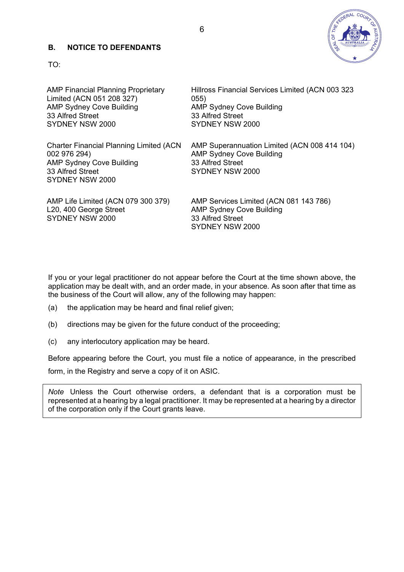#### **B. NOTICE TO DEFENDANTS**



TO:

| <b>AMP Financial Planning Proprietary</b><br>Limited (ACN 051 208 327)<br><b>AMP Sydney Cove Building</b><br>33 Alfred Street<br>SYDNEY NSW 2000 | Hillross Financial Services Limited (ACN 003 323<br>055)<br><b>AMP Sydney Cove Building</b><br>33 Alfred Street<br>SYDNEY NSW 2000 |
|--------------------------------------------------------------------------------------------------------------------------------------------------|------------------------------------------------------------------------------------------------------------------------------------|
| <b>Charter Financial Planning Limited (ACN)</b><br>002 976 294)<br><b>AMP Sydney Cove Building</b><br>33 Alfred Street<br>SYDNEY NSW 2000        | AMP Superannuation Limited (ACN 008 414 104)<br><b>AMP Sydney Cove Building</b><br>33 Alfred Street<br>SYDNEY NSW 2000             |
| AMP Life Limited (ACN 079 300 379)<br>L20, 400 George Street<br>SYDNEY NSW 2000                                                                  | AMP Services Limited (ACN 081 143 786)<br><b>AMP Sydney Cove Building</b><br>33 Alfred Street<br>SYDNEY NSW 2000                   |

If you or your legal practitioner do not appear before the Court at the time shown above, the application may be dealt with, and an order made, in your absence. As soon after that time as the business of the Court will allow, any of the following may happen:

- (a) the application may be heard and final relief given;
- (b) directions may be given for the future conduct of the proceeding;
- (c) any interlocutory application may be heard.

Before appearing before the Court, you must file a notice of appearance, in the prescribed form, in the Registry and serve a copy of it on ASIC.

*Note* Unless the Court otherwise orders, a defendant that is a corporation must be represented at a hearing by a legal practitioner. It may be represented at a hearing by a director of the corporation only if the Court grants leave.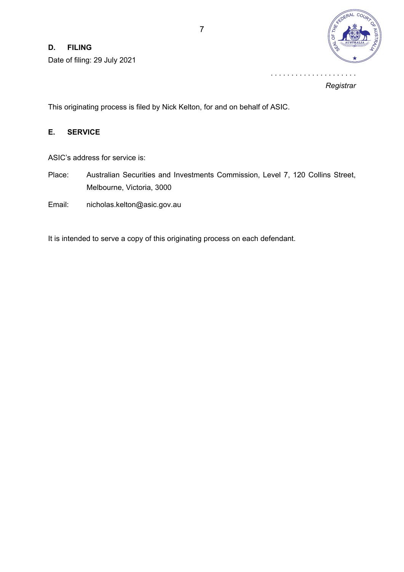## **D. FILING**

Date of filing: 29 July 2021



*Registrar*

. . . . . . . . . . . . . . . . . . . . .

This originating process is filed by Nick Kelton, for and on behalf of ASIC.

## **E. SERVICE**

ASIC's address for service is:

- Place: Australian Securities and Investments Commission, Level 7, 120 Collins Street, Melbourne, Victoria, 3000
- Email: nicholas.kelton@asic.gov.au

It is intended to serve a copy of this originating process on each defendant.